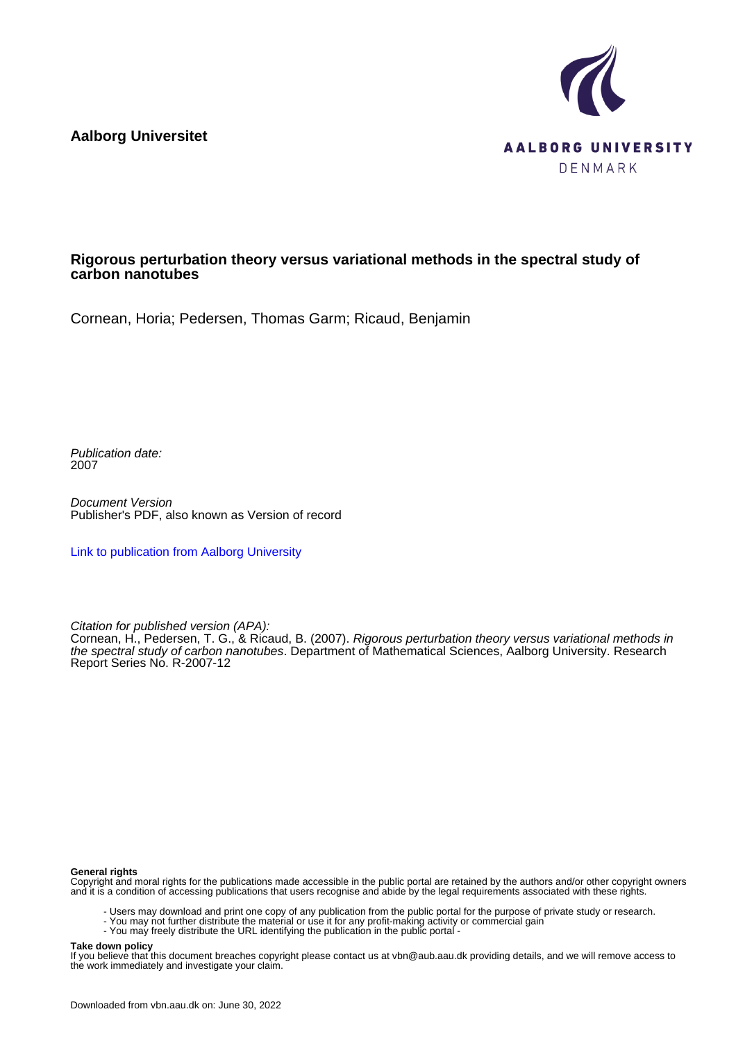**Aalborg Universitet**



# **Rigorous perturbation theory versus variational methods in the spectral study of carbon nanotubes**

Cornean, Horia; Pedersen, Thomas Garm; Ricaud, Benjamin

Publication date: 2007

Document Version Publisher's PDF, also known as Version of record

[Link to publication from Aalborg University](https://vbn.aau.dk/en/publications/c8703fe0-f885-11db-84c0-000ea68e967b)

Citation for published version (APA):

Cornean, H., Pedersen, T. G., & Ricaud, B. (2007). Rigorous perturbation theory versus variational methods in the spectral study of carbon nanotubes. Department of Mathematical Sciences, Aalborg University. Research Report Series No. R-2007-12

#### **General rights**

Copyright and moral rights for the publications made accessible in the public portal are retained by the authors and/or other copyright owners and it is a condition of accessing publications that users recognise and abide by the legal requirements associated with these rights.

- Users may download and print one copy of any publication from the public portal for the purpose of private study or research.
- You may not further distribute the material or use it for any profit-making activity or commercial gain
- You may freely distribute the URL identifying the publication in the public portal -

#### **Take down policy**

If you believe that this document breaches copyright please contact us at vbn@aub.aau.dk providing details, and we will remove access to the work immediately and investigate your claim.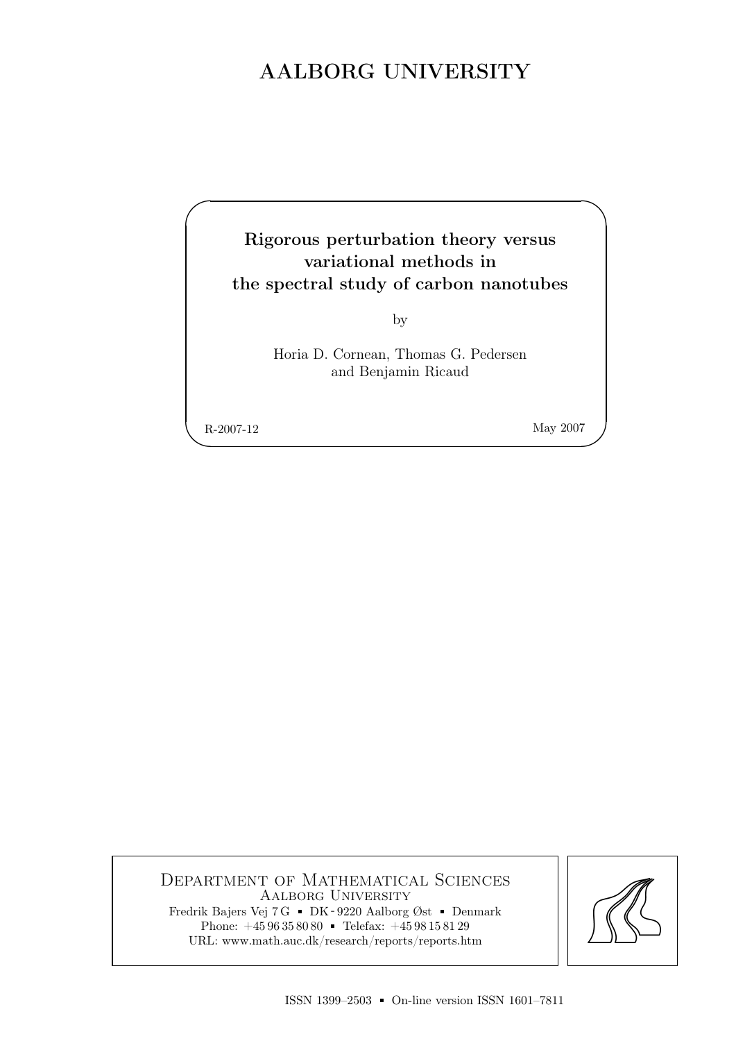# AALBORG UNIVERSITY

# Rigorous perturbation theory versus variational methods in the spectral study of carbon nanotubes

by

Horia D. Cornean, Thomas G. Pedersen and Benjamin Ricaud

R-2007-12 May 2007

 $\overline{\phantom{a}}$ 

✬

Department of Mathematical Sciences Aalborg University Fredrik Bajers Vej 7 G = DK - 9220 Aalborg Øst = Denmark Phone:  $+4596358080$  Telefax:  $+4598158129$ URL: www.math.auc.dk/research/reports/reports.htm

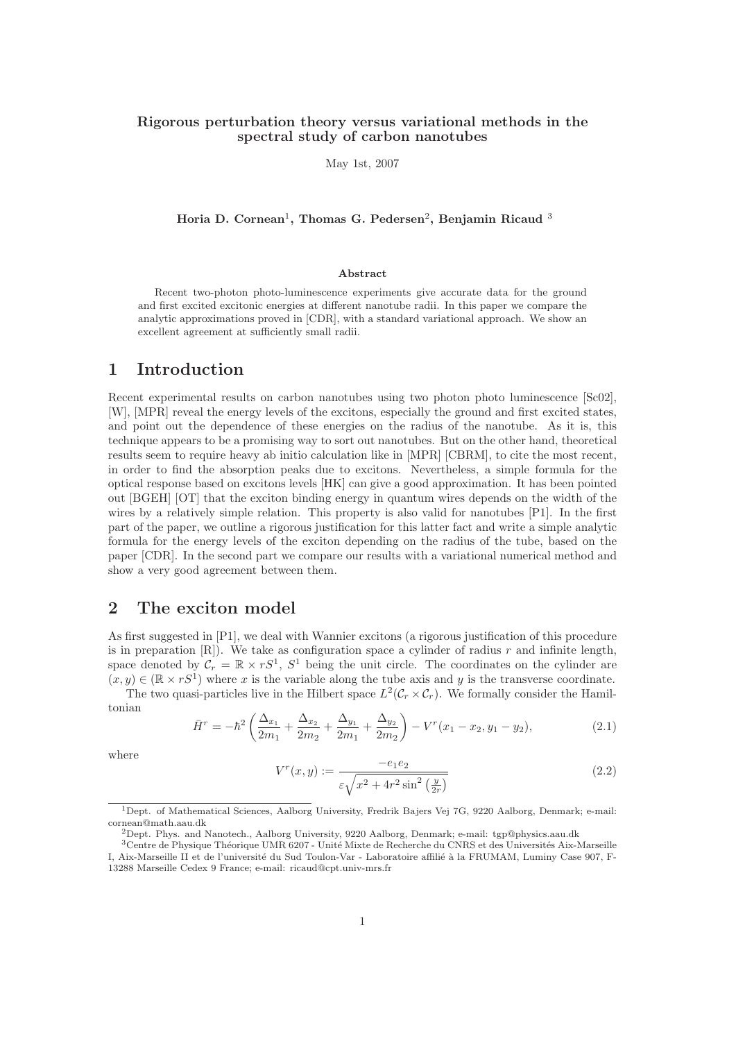## Rigorous perturbation theory versus variational methods in the spectral study of carbon nanotubes

May 1st, 2007

Horia D. Cornean<sup>1</sup>, Thomas G. Pedersen<sup>2</sup>, Benjamin Ricaud <sup>3</sup>

#### Abstract

Recent two-photon photo-luminescence experiments give accurate data for the ground and first excited excitonic energies at different nanotube radii. In this paper we compare the analytic approximations proved in [CDR], with a standard variational approach. We show an excellent agreement at sufficiently small radii.

# 1 Introduction

Recent experimental results on carbon nanotubes using two photon photo luminescence [Sc02], [W], [MPR] reveal the energy levels of the excitons, especially the ground and first excited states, and point out the dependence of these energies on the radius of the nanotube. As it is, this technique appears to be a promising way to sort out nanotubes. But on the other hand, theoretical results seem to require heavy ab initio calculation like in [MPR] [CBRM], to cite the most recent, in order to find the absorption peaks due to excitons. Nevertheless, a simple formula for the optical response based on excitons levels [HK] can give a good approximation. It has been pointed out [BGEH] [OT] that the exciton binding energy in quantum wires depends on the width of the wires by a relatively simple relation. This property is also valid for nanotubes [P1]. In the first part of the paper, we outline a rigorous justification for this latter fact and write a simple analytic formula for the energy levels of the exciton depending on the radius of the tube, based on the paper [CDR]. In the second part we compare our results with a variational numerical method and show a very good agreement between them.

# 2 The exciton model

As first suggested in [P1], we deal with Wannier excitons (a rigorous justification of this procedure is in preparation  $[R]$ ). We take as configuration space a cylinder of radius r and infinite length, space denoted by  $C_r = \mathbb{R} \times rS^1$ ,  $S^1$  being the unit circle. The coordinates on the cylinder are  $(x, y) \in (\mathbb{R} \times rS^1)$  where x is the variable along the tube axis and y is the transverse coordinate. The two quasi-particles live in the Hilbert space  $L^2(\mathcal{C}_r \times \mathcal{C}_r)$ . We formally consider the Hamil-

tonian

$$
\bar{H}^r = -\hbar^2 \left( \frac{\Delta_{x_1}}{2m_1} + \frac{\Delta_{x_2}}{2m_2} + \frac{\Delta_{y_1}}{2m_1} + \frac{\Delta_{y_2}}{2m_2} \right) - V^r(x_1 - x_2, y_1 - y_2),\tag{2.1}
$$

where

$$
V^{r}(x, y) := \frac{-e_1 e_2}{\varepsilon \sqrt{x^2 + 4r^2 \sin^2\left(\frac{y}{2r}\right)}}\tag{2.2}
$$

<sup>1</sup>Dept. of Mathematical Sciences, Aalborg University, Fredrik Bajers Vej 7G, 9220 Aalborg, Denmark; e-mail: cornean@math.aau.dk

<sup>2</sup>Dept. Phys. and Nanotech., Aalborg University, 9220 Aalborg, Denmark; e-mail: tgp@physics.aau.dk

<sup>&</sup>lt;sup>3</sup>Centre de Physique Théorique UMR 6207 - Unité Mixte de Recherche du CNRS et des Universités Aix-Marseille I, Aix-Marseille II et de l'université du Sud Toulon-Var - Laboratoire affilié à la FRUMAM, Luminy Case 907, F-13288 Marseille Cedex 9 France; e-mail: ricaud@cpt.univ-mrs.fr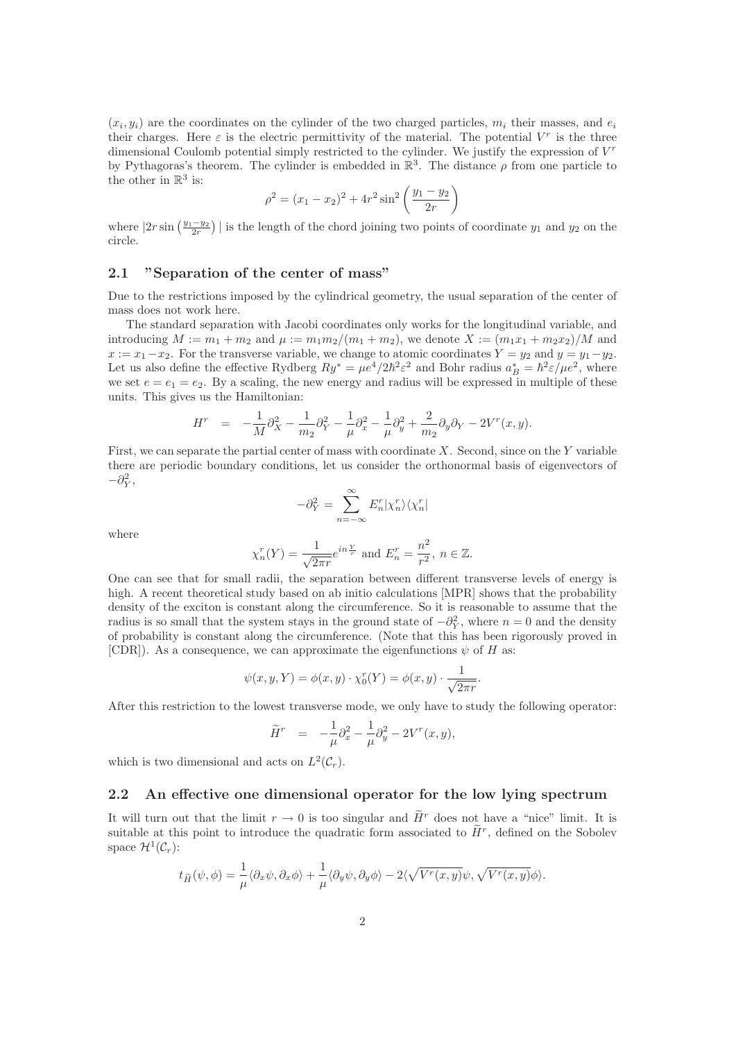$(x_i, y_i)$  are the coordinates on the cylinder of the two charged particles,  $m_i$  their masses, and  $e_i$ their charges. Here  $\varepsilon$  is the electric permittivity of the material. The potential  $V^r$  is the three dimensional Coulomb potential simply restricted to the cylinder. We justify the expression of  $V<sup>r</sup>$ by Pythagoras's theorem. The cylinder is embedded in  $\mathbb{R}^3$ . The distance  $\rho$  from one particle to the other in  $\mathbb{R}^3$  is:

$$
\rho^2 = (x_1 - x_2)^2 + 4r^2 \sin^2 \left(\frac{y_1 - y_2}{2r}\right)
$$

where  $|2r\sin\left(\frac{y_1-y_2}{2r}\right)|$  is the length of the chord joining two points of coordinate  $y_1$  and  $y_2$  on the circle.

#### 2.1 "Separation of the center of mass"

Due to the restrictions imposed by the cylindrical geometry, the usual separation of the center of mass does not work here.

The standard separation with Jacobi coordinates only works for the longitudinal variable, and introducing  $M := m_1 + m_2$  and  $\mu := m_1 m_2/(m_1 + m_2)$ , we denote  $X := (m_1 x_1 + m_2 x_2)/M$  and  $x := x_1 - x_2$ . For the transverse variable, we change to atomic coordinates  $Y = y_2$  and  $y = y_1 - y_2$ . Let us also define the effective Rydberg  $Ry^* = \mu e^4/2\hbar^2 \varepsilon^2$  and Bohr radius  $a_B^* = \hbar^2 \varepsilon / \mu e^2$ , where we set  $e = e_1 = e_2$ . By a scaling, the new energy and radius will be expressed in multiple of these units. This gives us the Hamiltonian:

$$
H^{r} = -\frac{1}{M}\partial_{X}^{2} - \frac{1}{m_{2}}\partial_{Y}^{2} - \frac{1}{\mu}\partial_{x}^{2} - \frac{1}{\mu}\partial_{y}^{2} + \frac{2}{m_{2}}\partial_{y}\partial_{Y} - 2V^{r}(x, y).
$$

First, we can separate the partial center of mass with coordinate  $X$ . Second, since on the Y variable there are periodic boundary conditions, let us consider the orthonormal basis of eigenvectors of  $-\partial_Y^2,$ 

$$
-\partial_Y^2 = \sum_{n=-\infty}^{\infty} E_n^r |\chi_n^r\rangle \langle \chi_n^r|
$$

where

$$
\chi_n^r(Y) = \frac{1}{\sqrt{2\pi r}} e^{in\frac{Y}{r}}
$$
 and  $E_n^r = \frac{n^2}{r^2}$ ,  $n \in \mathbb{Z}$ .

One can see that for small radii, the separation between different transverse levels of energy is high. A recent theoretical study based on ab initio calculations [MPR] shows that the probability density of the exciton is constant along the circumference. So it is reasonable to assume that the radius is so small that the system stays in the ground state of  $-\partial_Y^2$ , where  $n = 0$  and the density of probability is constant along the circumference. (Note that this has been rigorously proved in [CDR]). As a consequence, we can approximate the eigenfunctions  $\psi$  of H as:

$$
\psi(x, y, Y) = \phi(x, y) \cdot \chi_0^r(Y) = \phi(x, y) \cdot \frac{1}{\sqrt{2\pi r}}.
$$

After this restriction to the lowest transverse mode, we only have to study the following operator:

$$
\widetilde{H}^r \quad = \quad -\frac{1}{\mu}\partial_x^2 - \frac{1}{\mu}\partial_y^2 - 2V^r(x,y),
$$

which is two dimensional and acts on  $L^2(\mathcal{C}_r)$ .

## 2.2 An effective one dimensional operator for the low lying spectrum

It will turn out that the limit  $r \to 0$  is too singular and  $\widetilde{H}^r$  does not have a "nice" limit. It is suitable at this point to introduce the quadratic form associated to  $\tilde{H}^r$ , defined on the Sobolev space  $\mathcal{H}^1(\mathcal{C}_r)$ :

$$
t_{\widetilde{H}}(\psi,\phi)=\frac{1}{\mu}\langle\partial_x\psi,\partial_x\phi\rangle+\frac{1}{\mu}\langle\partial_y\psi,\partial_y\phi\rangle-2\langle\sqrt{V^r(x,y)}\psi,\sqrt{V^r(x,y)}\phi\rangle.
$$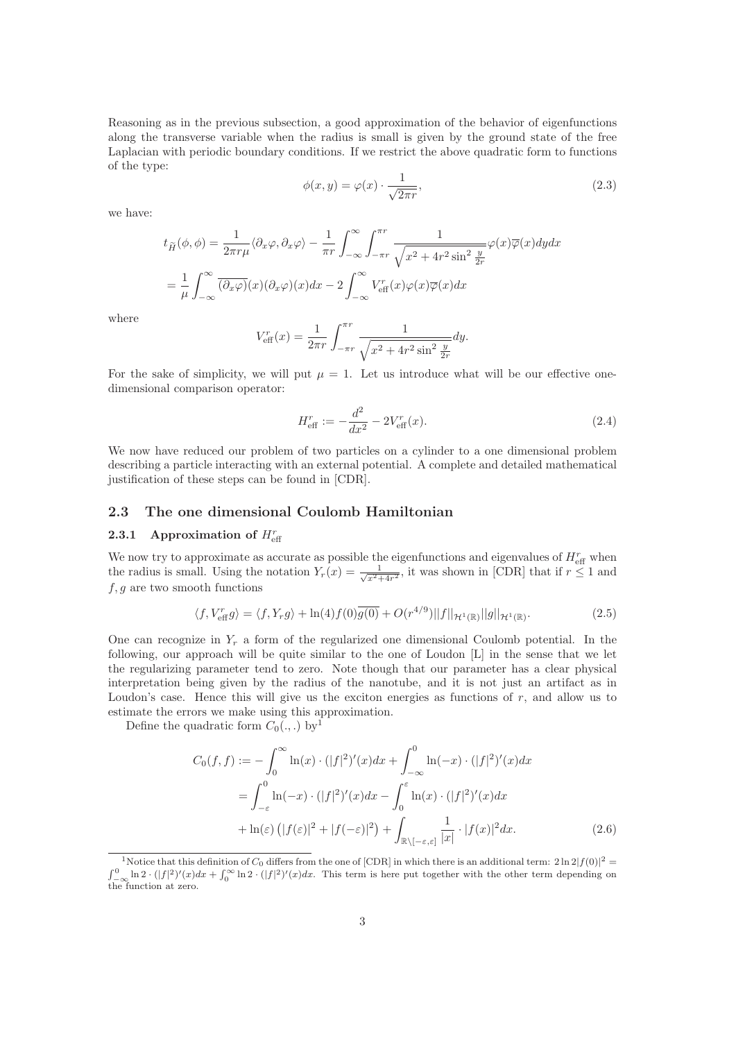Reasoning as in the previous subsection, a good approximation of the behavior of eigenfunctions along the transverse variable when the radius is small is given by the ground state of the free Laplacian with periodic boundary conditions. If we restrict the above quadratic form to functions of the type:

$$
\phi(x,y) = \varphi(x) \cdot \frac{1}{\sqrt{2\pi r}},\tag{2.3}
$$

we have:

$$
t_{\widetilde{H}}(\phi,\phi) = \frac{1}{2\pi r\mu} \langle \partial_x \varphi, \partial_x \varphi \rangle - \frac{1}{\pi r} \int_{-\infty}^{\infty} \int_{-\pi r}^{\pi r} \frac{1}{\sqrt{x^2 + 4r^2 \sin^2 \frac{y}{2r}}} \varphi(x) \overline{\varphi}(x) dy dx
$$
  
= 
$$
\frac{1}{\mu} \int_{-\infty}^{\infty} \overline{(\partial_x \varphi)}(x) (\partial_x \varphi)(x) dx - 2 \int_{-\infty}^{\infty} V_{\text{eff}}^r(x) \varphi(x) \overline{\varphi}(x) dx
$$

where

$$
V_{\text{eff}}^{r}(x) = \frac{1}{2\pi r} \int_{-\pi r}^{\pi r} \frac{1}{\sqrt{x^2 + 4r^2 \sin^2 \frac{y}{2r}}} dy.
$$

For the sake of simplicity, we will put  $\mu = 1$ . Let us introduce what will be our effective onedimensional comparison operator:

$$
H_{\text{eff}}^r := -\frac{d^2}{dx^2} - 2V_{\text{eff}}^r(x). \tag{2.4}
$$

We now have reduced our problem of two particles on a cylinder to a one dimensional problem describing a particle interacting with an external potential. A complete and detailed mathematical justification of these steps can be found in [CDR].

### 2.3 The one dimensional Coulomb Hamiltonian

# **2.3.1** Approximation of  $H_{\text{eff}}^{r}$

We now try to approximate as accurate as possible the eigenfunctions and eigenvalues of  $H_{\text{eff}}^{r}$  when the radius is small. Using the notation  $Y_r(x) = \frac{1}{\sqrt{x^2+4r^2}}$ , it was shown in [CDR] that if  $r \le 1$  and  $f, g$  are two smooth functions

$$
\langle f, V_{\text{eff}}^r g \rangle = \langle f, Y_r g \rangle + \ln(4) f(0) \overline{g(0)} + O(r^{4/9}) ||f||_{\mathcal{H}^1(\mathbb{R})} ||g||_{\mathcal{H}^1(\mathbb{R})}.
$$
 (2.5)

One can recognize in  $Y_r$  a form of the regularized one dimensional Coulomb potential. In the following, our approach will be quite similar to the one of Loudon [L] in the sense that we let the regularizing parameter tend to zero. Note though that our parameter has a clear physical interpretation being given by the radius of the nanotube, and it is not just an artifact as in Loudon's case. Hence this will give us the exciton energies as functions of  $r$ , and allow us to estimate the errors we make using this approximation.

Define the quadratic form  $C_0(.,.)$  by<sup>1</sup>

$$
C_0(f, f) := -\int_0^\infty \ln(x) \cdot (|f|^2)'(x) dx + \int_{-\infty}^0 \ln(-x) \cdot (|f|^2)'(x) dx
$$
  
= 
$$
\int_{-\varepsilon}^0 \ln(-x) \cdot (|f|^2)'(x) dx - \int_0^\varepsilon \ln(x) \cdot (|f|^2)'(x) dx
$$
  
+ 
$$
\ln(\varepsilon) (|f(\varepsilon)|^2 + |f(-\varepsilon)|^2) + \int_{\mathbb{R}\setminus[-\varepsilon,\varepsilon]} \frac{1}{|x|} \cdot |f(x)|^2 dx.
$$
 (2.6)

<sup>&</sup>lt;sup>1</sup>Notice that this definition of  $C_0$  differs from the one of [CDR] in which there is an additional term:  $2 \ln 2|f(0)|^2 =$  $\int_{-\infty}^{0} \ln 2 \cdot (|f|^2)'(x) dx + \int_{0}^{\infty} \ln 2 \cdot (|f|^2)'(x) dx$ . This term is here put together with the other term depending on the function at zero.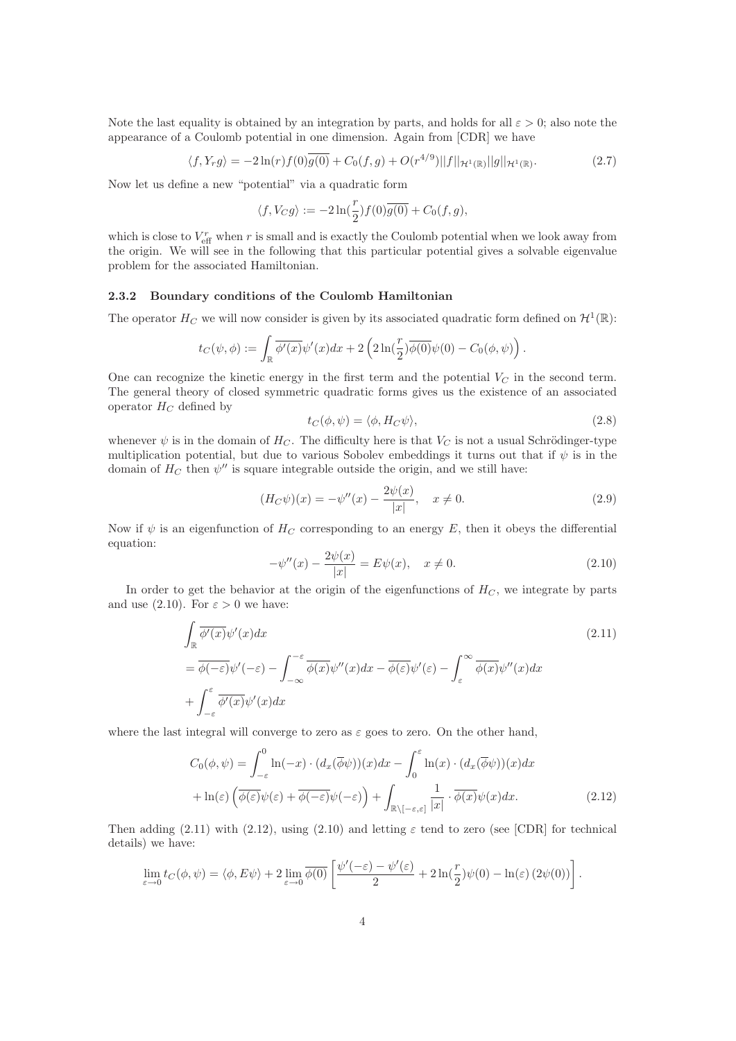Note the last equality is obtained by an integration by parts, and holds for all  $\varepsilon > 0$ ; also note the appearance of a Coulomb potential in one dimension. Again from [CDR] we have

$$
\langle f, Y_r g \rangle = -2 \ln(r) f(0) \overline{g(0)} + C_0(f, g) + O(r^{4/9}) ||f||_{\mathcal{H}^1(\mathbb{R})} ||g||_{\mathcal{H}^1(\mathbb{R})}.
$$
 (2.7)

Now let us define a new "potential" via a quadratic form

$$
\langle f, V_C g \rangle := -2 \ln(\frac{r}{2}) f(0) \overline{g(0)} + C_0(f, g),
$$

which is close to  $V_{\text{eff}}^r$  when r is small and is exactly the Coulomb potential when we look away from the origin. We will see in the following that this particular potential gives a solvable eigenvalue problem for the associated Hamiltonian.

#### 2.3.2 Boundary conditions of the Coulomb Hamiltonian

The operator  $H_C$  we will now consider is given by its associated quadratic form defined on  $\mathcal{H}^1(\mathbb{R})$ :

$$
t_C(\psi,\phi):=\int_{\mathbb{R}}\overline{\phi'(x)}\psi'(x)dx+2\left(2\ln(\frac{r}{2})\overline{\phi(0)}\psi(0)-C_0(\phi,\psi)\right).
$$

One can recognize the kinetic energy in the first term and the potential  $V_C$  in the second term. The general theory of closed symmetric quadratic forms gives us the existence of an associated operator  $H_C$  defined by

$$
t_C(\phi, \psi) = \langle \phi, H_C \psi \rangle,\tag{2.8}
$$

whenever  $\psi$  is in the domain of  $H_C$ . The difficulty here is that  $V_C$  is not a usual Schrödinger-type multiplication potential, but due to various Sobolev embeddings it turns out that if  $\psi$  is in the domain of  $H_C$  then  $\psi''$  is square integrable outside the origin, and we still have:

$$
(H_C \psi)(x) = -\psi''(x) - \frac{2\psi(x)}{|x|}, \quad x \neq 0.
$$
 (2.9)

Now if  $\psi$  is an eigenfunction of  $H_C$  corresponding to an energy E, then it obeys the differential equation:

$$
-\psi''(x) - \frac{2\psi(x)}{|x|} = E\psi(x), \quad x \neq 0.
$$
 (2.10)

In order to get the behavior at the origin of the eigenfunctions of  $H_C$ , we integrate by parts and use (2.10). For  $\varepsilon > 0$  we have:

$$
\int_{\mathbb{R}} \overline{\phi'(x)} \psi'(x) dx
$$
\n
$$
= \overline{\phi(-\varepsilon)} \psi'(-\varepsilon) - \int_{-\infty}^{-\varepsilon} \overline{\phi(x)} \psi''(x) dx - \overline{\phi(\varepsilon)} \psi'(\varepsilon) - \int_{\varepsilon}^{\infty} \overline{\phi(x)} \psi''(x) dx
$$
\n
$$
+ \int_{-\varepsilon}^{\varepsilon} \overline{\phi'(x)} \psi'(x) dx
$$
\n(2.11)

where the last integral will converge to zero as  $\varepsilon$  goes to zero. On the other hand,

$$
C_0(\phi, \psi) = \int_{-\varepsilon}^0 \ln(-x) \cdot (d_x(\overline{\phi}\psi))(x) dx - \int_0^{\varepsilon} \ln(x) \cdot (d_x(\overline{\phi}\psi))(x) dx
$$
  
+  $\ln(\varepsilon) \left( \overline{\phi(\varepsilon)} \psi(\varepsilon) + \overline{\phi(-\varepsilon)} \psi(-\varepsilon) \right) + \int_{\mathbb{R} \setminus [-\varepsilon, \varepsilon]} \frac{1}{|x|} \cdot \overline{\phi(x)} \psi(x) dx.$  (2.12)

Then adding (2.11) with (2.12), using (2.10) and letting  $\varepsilon$  tend to zero (see [CDR] for technical details) we have:

$$
\lim_{\varepsilon \to 0} t_C(\phi, \psi) = \langle \phi, E\psi \rangle + 2 \lim_{\varepsilon \to 0} \overline{\phi(0)} \left[ \frac{\psi'(-\varepsilon) - \psi'(\varepsilon)}{2} + 2 \ln(\frac{r}{2}) \psi(0) - \ln(\varepsilon) (2\psi(0)) \right].
$$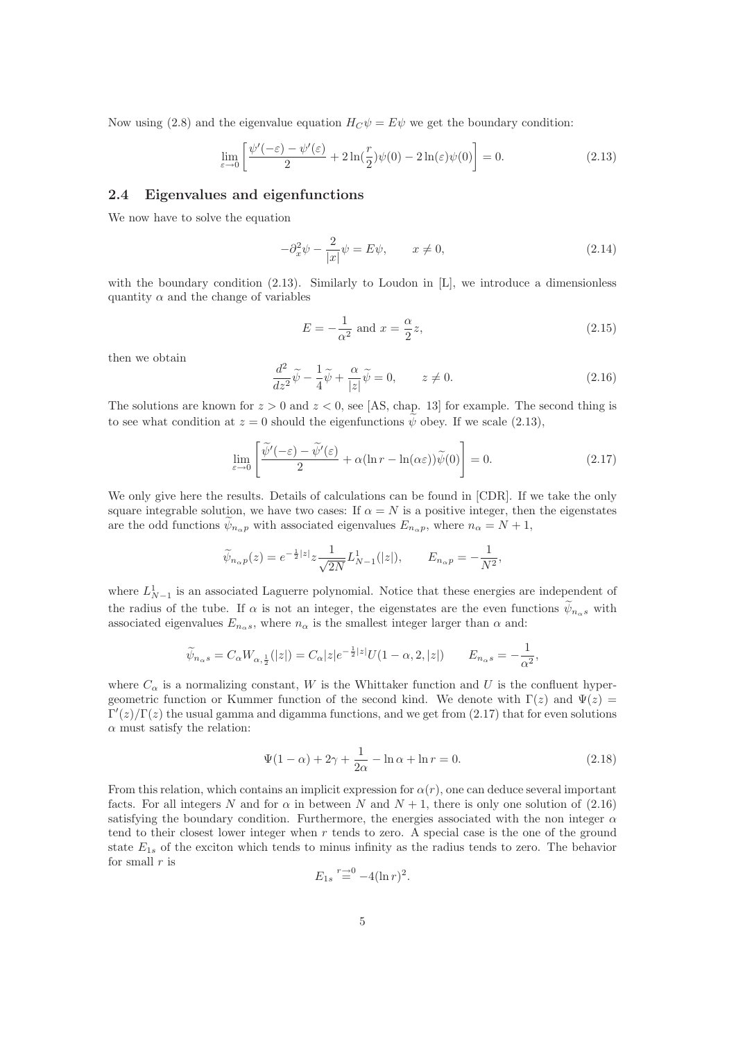Now using (2.8) and the eigenvalue equation  $H_C \psi = E \psi$  we get the boundary condition:

$$
\lim_{\varepsilon \to 0} \left[ \frac{\psi'(-\varepsilon) - \psi'(\varepsilon)}{2} + 2\ln(\frac{r}{2})\psi(0) - 2\ln(\varepsilon)\psi(0) \right] = 0.
$$
\n(2.13)

### 2.4 Eigenvalues and eigenfunctions

We now have to solve the equation

$$
-\partial_x^2 \psi - \frac{2}{|x|} \psi = E\psi, \qquad x \neq 0,
$$
\n(2.14)

with the boundary condition  $(2.13)$ . Similarly to Loudon in  $[L]$ , we introduce a dimensionless quantity  $\alpha$  and the change of variables

$$
E = -\frac{1}{\alpha^2} \text{ and } x = \frac{\alpha}{2}z,
$$
\n(2.15)

then we obtain

$$
\frac{d^2}{dz^2}\tilde{\psi} - \frac{1}{4}\tilde{\psi} + \frac{\alpha}{|z|}\tilde{\psi} = 0, \qquad z \neq 0.
$$
 (2.16)

The solutions are known for  $z > 0$  and  $z < 0$ , see [AS, chap. 13] for example. The second thing is to see what condition at  $z = 0$  should the eigenfunctions  $\psi$  obey. If we scale (2.13),

$$
\lim_{\varepsilon \to 0} \left[ \frac{\widetilde{\psi}'(-\varepsilon) - \widetilde{\psi}'(\varepsilon)}{2} + \alpha (\ln r - \ln(\alpha \varepsilon)) \widetilde{\psi}(0) \right] = 0. \tag{2.17}
$$

We only give here the results. Details of calculations can be found in [CDR]. If we take the only square integrable solution, we have two cases: If  $\alpha = N$  is a positive integer, then the eigenstates are the odd functions  $\psi_{n_{\alpha}p}$  with associated eigenvalues  $E_{n_{\alpha}p}$ , where  $n_{\alpha} = N + 1$ ,

$$
\widetilde{\psi}_{n_{\alpha}p}(z) = e^{-\frac{1}{2}|z|} z \frac{1}{\sqrt{2N}} L^1_{N-1}(|z|), \qquad E_{n_{\alpha}p} = -\frac{1}{N^2},
$$

where  $L_{N-1}^1$  is an associated Laguerre polynomial. Notice that these energies are independent of the radius of the tube. If  $\alpha$  is not an integer, the eigenstates are the even functions  $\psi_{n,s}$  with associated eigenvalues  $E_{n_\alpha s}$ , where  $n_\alpha$  is the smallest integer larger than  $\alpha$  and:

$$
\widetilde{\psi}_{n_{\alpha}s} = C_{\alpha}W_{\alpha,\frac{1}{2}}(|z|) = C_{\alpha}|z|e^{-\frac{1}{2}|z|}U(1-\alpha,2,|z|) \qquad E_{n_{\alpha}s} = -\frac{1}{\alpha^2},
$$

where  $C_{\alpha}$  is a normalizing constant, W is the Whittaker function and U is the confluent hypergeometric function or Kummer function of the second kind. We denote with  $\Gamma(z)$  and  $\Psi(z)$  $\Gamma'(z)/\Gamma(z)$  the usual gamma and digamma functions, and we get from (2.17) that for even solutions  $\alpha$  must satisfy the relation:

$$
\Psi(1-\alpha) + 2\gamma + \frac{1}{2\alpha} - \ln \alpha + \ln r = 0.
$$
\n(2.18)

From this relation, which contains an implicit expression for  $\alpha(r)$ , one can deduce several important facts. For all integers N and for  $\alpha$  in between N and  $N + 1$ , there is only one solution of (2.16) satisfying the boundary condition. Furthermore, the energies associated with the non integer  $\alpha$ tend to their closest lower integer when  $r$  tends to zero. A special case is the one of the ground state  $E_{1s}$  of the exciton which tends to minus infinity as the radius tends to zero. The behavior for small  $r$  is

$$
E_{1s} \stackrel{r \to 0}{=} -4(\ln r)^2
$$
.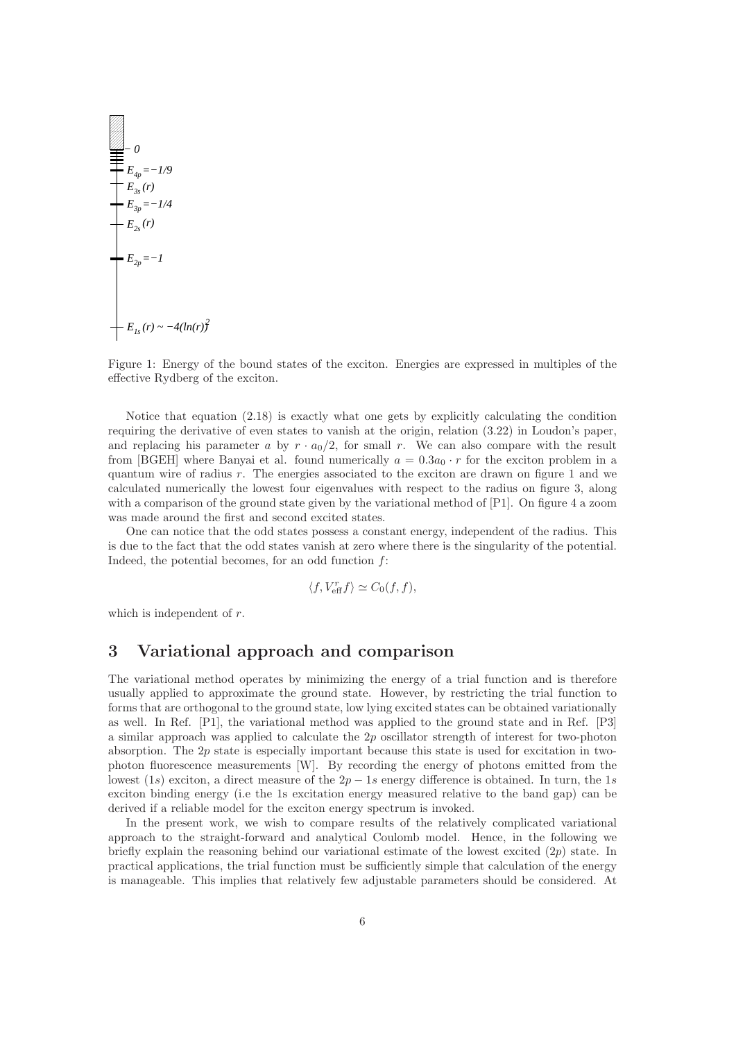$$
E_{4p} = -1/9
$$
  
\n
$$
E_{3s}(r)
$$
  
\n
$$
E_{3p} = -1/4
$$
  
\n
$$
E_{2s}(r)
$$
  
\n
$$
E_{2p} = -1
$$
  
\n
$$
E_{1s}(r) \sim -4(\ln(r))^{2}
$$

Figure 1: Energy of the bound states of the exciton. Energies are expressed in multiples of the effective Rydberg of the exciton.

Notice that equation (2.18) is exactly what one gets by explicitly calculating the condition requiring the derivative of even states to vanish at the origin, relation (3.22) in Loudon's paper, and replacing his parameter a by  $r \cdot a_0/2$ , for small r. We can also compare with the result from [BGEH] where Banyai et al. found numerically  $a = 0.3a_0 \cdot r$  for the exciton problem in a quantum wire of radius  $r$ . The energies associated to the exciton are drawn on figure 1 and we calculated numerically the lowest four eigenvalues with respect to the radius on figure 3, along with a comparison of the ground state given by the variational method of [P1]. On figure 4 a zoom was made around the first and second excited states.

One can notice that the odd states possess a constant energy, independent of the radius. This is due to the fact that the odd states vanish at zero where there is the singularity of the potential. Indeed, the potential becomes, for an odd function  $f$ :

$$
\langle f, V_{\text{eff}}^r f \rangle \simeq C_0(f, f),
$$

which is independent of  $r$ .

# 3 Variational approach and comparison

The variational method operates by minimizing the energy of a trial function and is therefore usually applied to approximate the ground state. However, by restricting the trial function to forms that are orthogonal to the ground state, low lying excited states can be obtained variationally as well. In Ref. [P1], the variational method was applied to the ground state and in Ref. [P3] a similar approach was applied to calculate the 2p oscillator strength of interest for two-photon absorption. The 2p state is especially important because this state is used for excitation in twophoton fluorescence measurements [W]. By recording the energy of photons emitted from the lowest (1s) exciton, a direct measure of the  $2p - 1s$  energy difference is obtained. In turn, the 1s exciton binding energy (i.e the 1s excitation energy measured relative to the band gap) can be derived if a reliable model for the exciton energy spectrum is invoked.

In the present work, we wish to compare results of the relatively complicated variational approach to the straight-forward and analytical Coulomb model. Hence, in the following we briefly explain the reasoning behind our variational estimate of the lowest excited  $(2p)$  state. In practical applications, the trial function must be sufficiently simple that calculation of the energy is manageable. This implies that relatively few adjustable parameters should be considered. At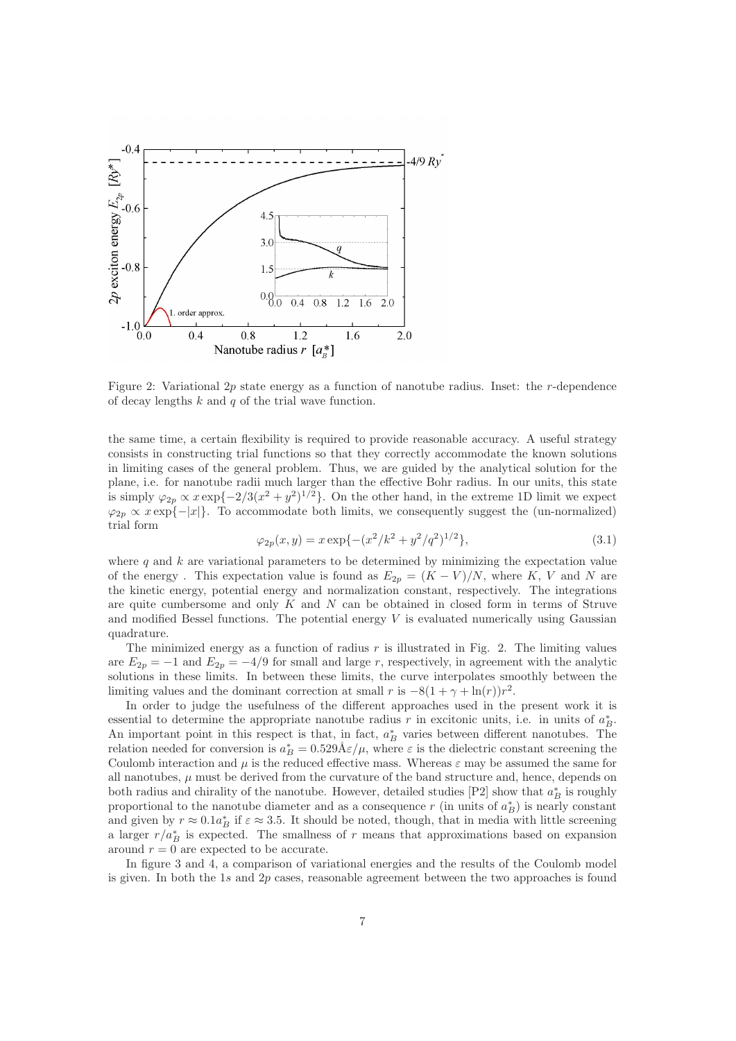

Figure 2: Variational 2p state energy as a function of nanotube radius. Inset: the r-dependence of decay lengths  $k$  and  $q$  of the trial wave function.

the same time, a certain flexibility is required to provide reasonable accuracy. A useful strategy consists in constructing trial functions so that they correctly accommodate the known solutions in limiting cases of the general problem. Thus, we are guided by the analytical solution for the plane, i.e. for nanotube radii much larger than the effective Bohr radius. In our units, this state is simply  $\varphi_{2p} \propto x \exp\{-2/3(x^2 + y^2)^{1/2}\}\.$  On the other hand, in the extreme 1D limit we expect  $\varphi_{2p} \propto x \exp\{-|x|\}.$  To accommodate both limits, we consequently suggest the (un-normalized) trial form

$$
\varphi_{2p}(x,y) = x \exp\{-\left(x^2/k^2 + y^2/q^2\right)^{1/2}\},\tag{3.1}
$$

where q and k are variational parameters to be determined by minimizing the expectation value of the energy. This expectation value is found as  $E_{2p} = (K - V)/N$ , where K, V and N are the kinetic energy, potential energy and normalization constant, respectively. The integrations are quite cumbersome and only  $K$  and  $N$  can be obtained in closed form in terms of Struve and modified Bessel functions. The potential energy  $V$  is evaluated numerically using Gaussian quadrature.

The minimized energy as a function of radius  $r$  is illustrated in Fig. 2. The limiting values are  $E_{2p} = -1$  and  $E_{2p} = -4/9$  for small and large r, respectively, in agreement with the analytic solutions in these limits. In between these limits, the curve interpolates smoothly between the limiting values and the dominant correction at small r is  $-8(1 + \gamma + \ln(r))r^2$ .

In order to judge the usefulness of the different approaches used in the present work it is essential to determine the appropriate nanotube radius r in excitonic units, i.e. in units of  $a_B^*$ . An important point in this respect is that, in fact,  $a_B^*$  varies between different nanotubes. The relation needed for conversion is  $a_B^* = 0.529 \text{\AA} \varepsilon/\mu$ , where  $\varepsilon$  is the dielectric constant screening the Coulomb interaction and  $\mu$  is the reduced effective mass. Whereas  $\varepsilon$  may be assumed the same for all nanotubes,  $\mu$  must be derived from the curvature of the band structure and, hence, depends on both radius and chirality of the nanotube. However, detailed studies  $[P2]$  show that  $a_B^*$  is roughly proportional to the nanotube diameter and as a consequence r (in units of  $a_B^*$ ) is nearly constant and given by  $r \approx 0.1a_B^*$  if  $\varepsilon \approx 3.5$ . It should be noted, though, that in media with little screening a larger  $r/a_B^*$  is expected. The smallness of r means that approximations based on expansion around  $r = 0$  are expected to be accurate.

In figure 3 and 4, a comparison of variational energies and the results of the Coulomb model is given. In both the  $1s$  and  $2p$  cases, reasonable agreement between the two approaches is found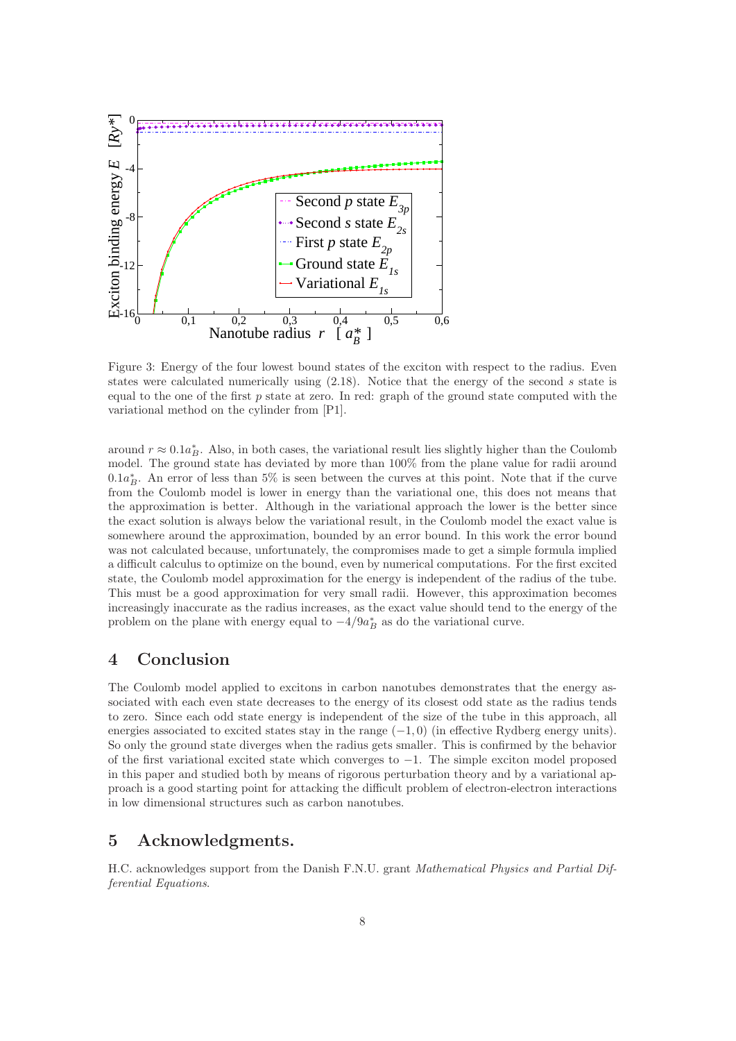

Figure 3: Energy of the four lowest bound states of the exciton with respect to the radius. Even states were calculated numerically using  $(2.18)$ . Notice that the energy of the second s state is equal to the one of the first  $p$  state at zero. In red: graph of the ground state computed with the variational method on the cylinder from [P1].

around  $r \approx 0.1a_B^*$ . Also, in both cases, the variational result lies slightly higher than the Coulomb model. The ground state has deviated by more than 100% from the plane value for radii around  $0.1a_B^*$ . An error of less than 5% is seen between the curves at this point. Note that if the curve from the Coulomb model is lower in energy than the variational one, this does not means that the approximation is better. Although in the variational approach the lower is the better since the exact solution is always below the variational result, in the Coulomb model the exact value is somewhere around the approximation, bounded by an error bound. In this work the error bound was not calculated because, unfortunately, the compromises made to get a simple formula implied a difficult calculus to optimize on the bound, even by numerical computations. For the first excited state, the Coulomb model approximation for the energy is independent of the radius of the tube. This must be a good approximation for very small radii. However, this approximation becomes increasingly inaccurate as the radius increases, as the exact value should tend to the energy of the problem on the plane with energy equal to  $-4/9a_B^*$  as do the variational curve.

# 4 Conclusion

The Coulomb model applied to excitons in carbon nanotubes demonstrates that the energy associated with each even state decreases to the energy of its closest odd state as the radius tends to zero. Since each odd state energy is independent of the size of the tube in this approach, all energies associated to excited states stay in the range  $(-1, 0)$  (in effective Rydberg energy units). So only the ground state diverges when the radius gets smaller. This is confirmed by the behavior of the first variational excited state which converges to −1. The simple exciton model proposed in this paper and studied both by means of rigorous perturbation theory and by a variational approach is a good starting point for attacking the difficult problem of electron-electron interactions in low dimensional structures such as carbon nanotubes.

# 5 Acknowledgments.

H.C. acknowledges support from the Danish F.N.U. grant Mathematical Physics and Partial Differential Equations.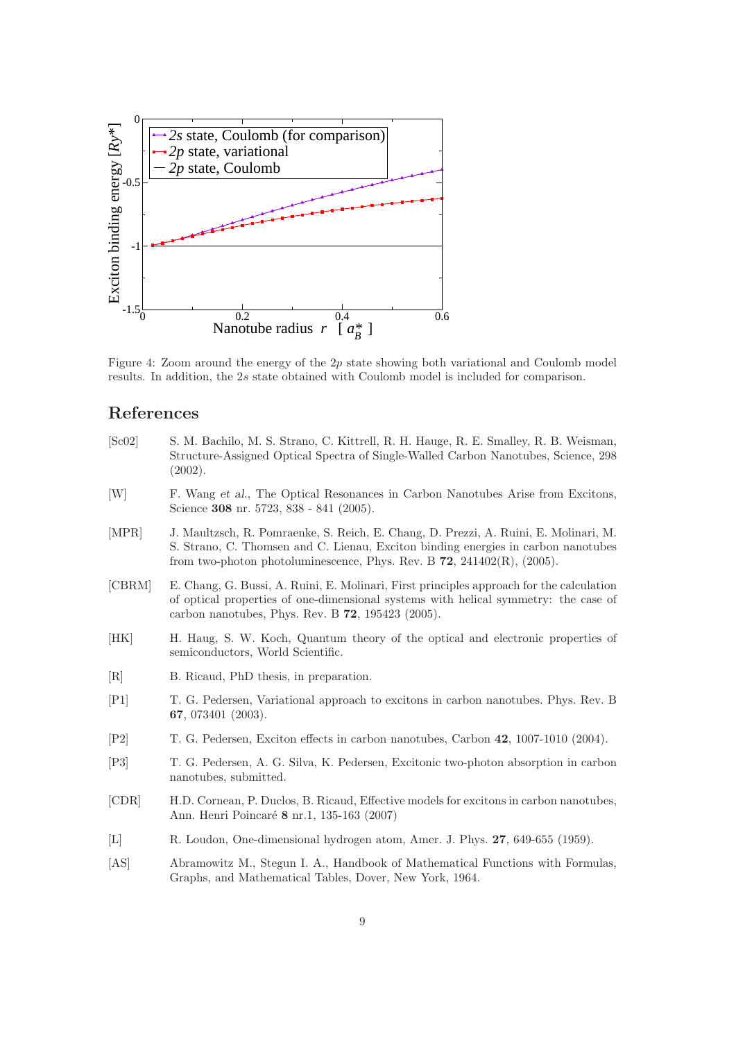

Figure 4: Zoom around the energy of the  $2p$  state showing both variational and Coulomb model results. In addition, the 2s state obtained with Coulomb model is included for comparison.

# References

- [Sc02] S. M. Bachilo, M. S. Strano, C. Kittrell, R. H. Hauge, R. E. Smalley, R. B. Weisman, Structure-Assigned Optical Spectra of Single-Walled Carbon Nanotubes, Science, 298 (2002).
- [W] F. Wang et al., The Optical Resonances in Carbon Nanotubes Arise from Excitons, Science 308 nr. 5723, 838 - 841 (2005).
- [MPR] J. Maultzsch, R. Pomraenke, S. Reich, E. Chang, D. Prezzi, A. Ruini, E. Molinari, M. S. Strano, C. Thomsen and C. Lienau, Exciton binding energies in carbon nanotubes from two-photon photoluminescence, Phys. Rev. B  $72$ ,  $241402(R)$ ,  $(2005)$ .
- [CBRM] E. Chang, G. Bussi, A. Ruini, E. Molinari, First principles approach for the calculation of optical properties of one-dimensional systems with helical symmetry: the case of carbon nanotubes, Phys. Rev. B 72, 195423 (2005).
- [HK] H. Haug, S. W. Koch, Quantum theory of the optical and electronic properties of semiconductors, World Scientific.
- [R] B. Ricaud, PhD thesis, in preparation.
- [P1] T. G. Pedersen, Variational approach to excitons in carbon nanotubes. Phys. Rev. B 67, 073401 (2003).
- [P2] T. G. Pedersen, Exciton effects in carbon nanotubes, Carbon 42, 1007-1010 (2004).
- [P3] T. G. Pedersen, A. G. Silva, K. Pedersen, Excitonic two-photon absorption in carbon nanotubes, submitted.
- [CDR] H.D. Cornean, P. Duclos, B. Ricaud, Effective models for excitons in carbon nanotubes, Ann. Henri Poincaré 8 nr.1, 135-163 (2007)
- [L] R. Loudon, One-dimensional hydrogen atom, Amer. J. Phys. 27, 649-655 (1959).
- [AS] Abramowitz M., Stegun I. A., Handbook of Mathematical Functions with Formulas, Graphs, and Mathematical Tables, Dover, New York, 1964.